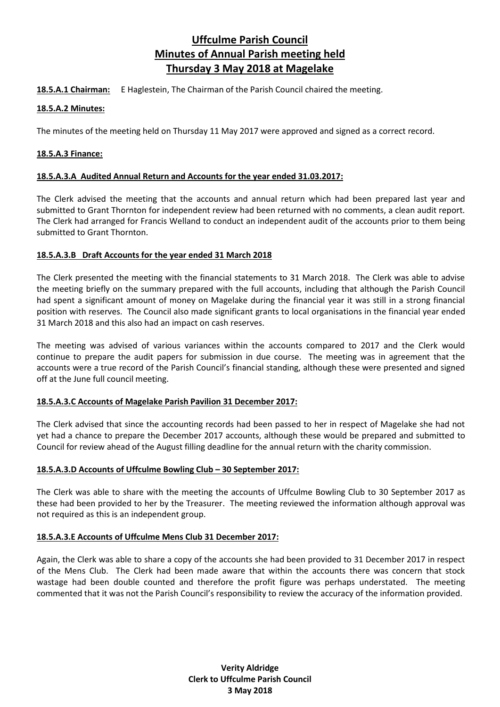# **Uffculme Parish Council Minutes of Annual Parish meeting held Thursday 3 May 2018 at Magelake**

**18.5.A.1 Chairman:** E Haglestein, The Chairman of the Parish Council chaired the meeting.

### **18.5.A.2 Minutes:**

The minutes of the meeting held on Thursday 11 May 2017 were approved and signed as a correct record.

## **18.5.A.3 Finance:**

## **18.5.A.3.A Audited Annual Return and Accounts for the year ended 31.03.2017:**

The Clerk advised the meeting that the accounts and annual return which had been prepared last year and submitted to Grant Thornton for independent review had been returned with no comments, a clean audit report. The Clerk had arranged for Francis Welland to conduct an independent audit of the accounts prior to them being submitted to Grant Thornton.

# **18.5.A.3.B Draft Accounts for the year ended 31 March 2018**

The Clerk presented the meeting with the financial statements to 31 March 2018. The Clerk was able to advise the meeting briefly on the summary prepared with the full accounts, including that although the Parish Council had spent a significant amount of money on Magelake during the financial year it was still in a strong financial position with reserves. The Council also made significant grants to local organisations in the financial year ended 31 March 2018 and this also had an impact on cash reserves.

The meeting was advised of various variances within the accounts compared to 2017 and the Clerk would continue to prepare the audit papers for submission in due course. The meeting was in agreement that the accounts were a true record of the Parish Council's financial standing, although these were presented and signed off at the June full council meeting.

### **18.5.A.3.C Accounts of Magelake Parish Pavilion 31 December 2017:**

The Clerk advised that since the accounting records had been passed to her in respect of Magelake she had not yet had a chance to prepare the December 2017 accounts, although these would be prepared and submitted to Council for review ahead of the August filling deadline for the annual return with the charity commission.

# **18.5.A.3.D Accounts of Uffculme Bowling Club – 30 September 2017:**

The Clerk was able to share with the meeting the accounts of Uffculme Bowling Club to 30 September 2017 as these had been provided to her by the Treasurer. The meeting reviewed the information although approval was not required as this is an independent group.

# **18.5.A.3.E Accounts of Uffculme Mens Club 31 December 2017:**

Again, the Clerk was able to share a copy of the accounts she had been provided to 31 December 2017 in respect of the Mens Club. The Clerk had been made aware that within the accounts there was concern that stock wastage had been double counted and therefore the profit figure was perhaps understated. The meeting commented that it was not the Parish Council's responsibility to review the accuracy of the information provided.

> **Verity Aldridge Clerk to Uffculme Parish Council 3 May 2018**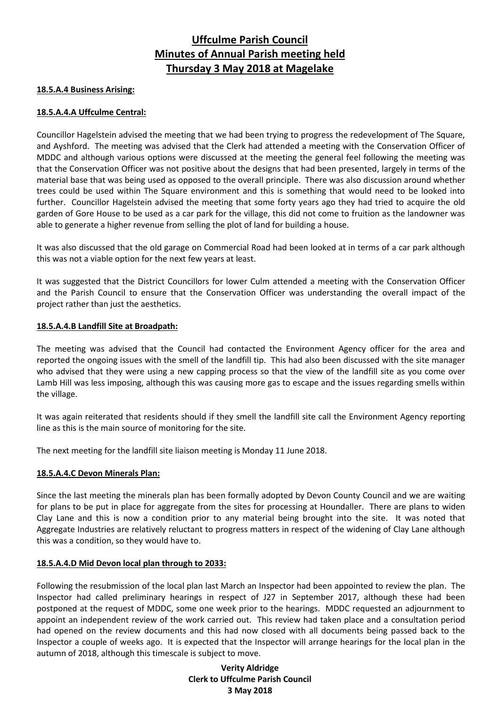# **Uffculme Parish Council Minutes of Annual Parish meeting held Thursday 3 May 2018 at Magelake**

#### **18.5.A.4 Business Arising:**

#### **18.5.A.4.A Uffculme Central:**

Councillor Hagelstein advised the meeting that we had been trying to progress the redevelopment of The Square, and Ayshford. The meeting was advised that the Clerk had attended a meeting with the Conservation Officer of MDDC and although various options were discussed at the meeting the general feel following the meeting was that the Conservation Officer was not positive about the designs that had been presented, largely in terms of the material base that was being used as opposed to the overall principle. There was also discussion around whether trees could be used within The Square environment and this is something that would need to be looked into further. Councillor Hagelstein advised the meeting that some forty years ago they had tried to acquire the old garden of Gore House to be used as a car park for the village, this did not come to fruition as the landowner was able to generate a higher revenue from selling the plot of land for building a house.

It was also discussed that the old garage on Commercial Road had been looked at in terms of a car park although this was not a viable option for the next few years at least.

It was suggested that the District Councillors for lower Culm attended a meeting with the Conservation Officer and the Parish Council to ensure that the Conservation Officer was understanding the overall impact of the project rather than just the aesthetics.

#### **18.5.A.4.B Landfill Site at Broadpath:**

The meeting was advised that the Council had contacted the Environment Agency officer for the area and reported the ongoing issues with the smell of the landfill tip. This had also been discussed with the site manager who advised that they were using a new capping process so that the view of the landfill site as you come over Lamb Hill was less imposing, although this was causing more gas to escape and the issues regarding smells within the village.

It was again reiterated that residents should if they smell the landfill site call the Environment Agency reporting line as this is the main source of monitoring for the site.

The next meeting for the landfill site liaison meeting is Monday 11 June 2018.

#### **18.5.A.4.C Devon Minerals Plan:**

Since the last meeting the minerals plan has been formally adopted by Devon County Council and we are waiting for plans to be put in place for aggregate from the sites for processing at Houndaller. There are plans to widen Clay Lane and this is now a condition prior to any material being brought into the site. It was noted that Aggregate Industries are relatively reluctant to progress matters in respect of the widening of Clay Lane although this was a condition, so they would have to.

#### **18.5.A.4.D Mid Devon local plan through to 2033:**

Following the resubmission of the local plan last March an Inspector had been appointed to review the plan. The Inspector had called preliminary hearings in respect of J27 in September 2017, although these had been postponed at the request of MDDC, some one week prior to the hearings. MDDC requested an adjournment to appoint an independent review of the work carried out. This review had taken place and a consultation period had opened on the review documents and this had now closed with all documents being passed back to the Inspector a couple of weeks ago. It is expected that the Inspector will arrange hearings for the local plan in the autumn of 2018, although this timescale is subject to move.

> **Verity Aldridge Clerk to Uffculme Parish Council 3 May 2018**